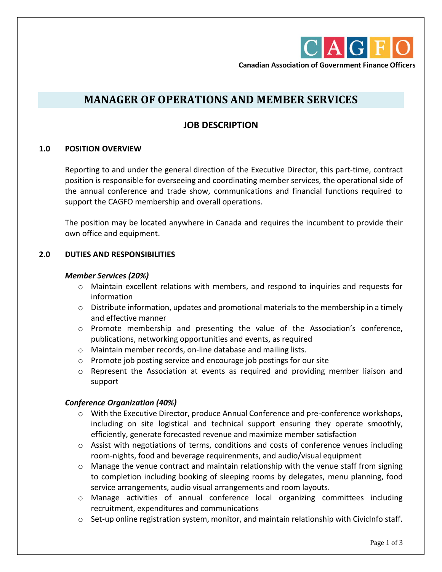

**Canadian Association of Government Finance Officers**

# **MANAGER OF OPERATIONS AND MEMBER SERVICES**

## **JOB DESCRIPTION**

#### **1.0 POSITION OVERVIEW**

Reporting to and under the general direction of the Executive Director, this part-time, contract position is responsible for overseeing and coordinating member services, the operational side of the annual conference and trade show, communications and financial functions required to support the CAGFO membership and overall operations.

The position may be located anywhere in Canada and requires the incumbent to provide their own office and equipment.

#### **2.0 DUTIES AND RESPONSIBILITIES**

#### *Member Services (20%)*

- o Maintain excellent relations with members, and respond to inquiries and requests for information
- $\circ$  Distribute information, updates and promotional materials to the membership in a timely and effective manner
- o Promote membership and presenting the value of the Association's conference, publications, networking opportunities and events, as required
- o Maintain member records, on-line database and mailing lists.
- o Promote job posting service and encourage job postings for our site
- $\circ$  Represent the Association at events as required and providing member liaison and support

#### *Conference Organization (40%)*

- o With the Executive Director, produce Annual Conference and pre-conference workshops, including on site logistical and technical support ensuring they operate smoothly, efficiently, generate forecasted revenue and maximize member satisfaction
- $\circ$  Assist with negotiations of terms, conditions and costs of conference venues including room-nights, food and beverage requirenments, and audio/visual equipment
- $\circ$  Manage the venue contract and maintain relationship with the venue staff from signing to completion including booking of sleeping rooms by delegates, menu planning, food service arrangements, audio visual arrangements and room layouts.
- o Manage activities of annual conference local organizing committees including recruitment, expenditures and communications
- $\circ$  Set-up online registration system, monitor, and maintain relationship with CivicInfo staff.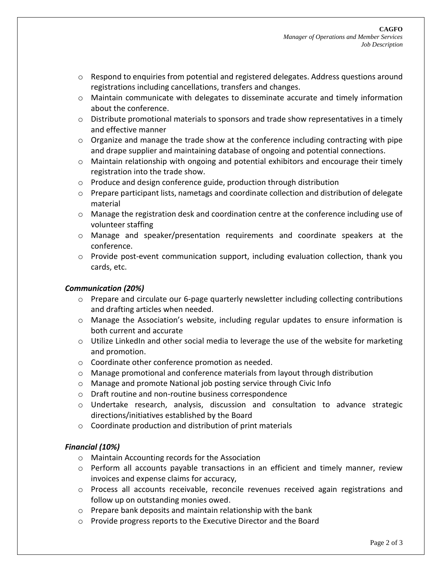- $\circ$  Respond to enquiries from potential and registered delegates. Address questions around registrations including cancellations, transfers and changes.
- o Maintain communicate with delegates to disseminate accurate and timely information about the conference.
- o Distribute promotional materials to sponsors and trade show representatives in a timely and effective manner
- $\circ$  Organize and manage the trade show at the conference including contracting with pipe and drape supplier and maintaining database of ongoing and potential connections.
- $\circ$  Maintain relationship with ongoing and potential exhibitors and encourage their timely registration into the trade show.
- o Produce and design conference guide, production through distribution
- $\circ$  Prepare participant lists, nametags and coordinate collection and distribution of delegate material
- o Manage the registration desk and coordination centre at the conference including use of volunteer staffing
- o Manage and speaker/presentation requirements and coordinate speakers at the conference.
- o Provide post-event communication support, including evaluation collection, thank you cards, etc.

#### *Communication (20%)*

- $\circ$  Prepare and circulate our 6-page quarterly newsletter including collecting contributions and drafting articles when needed.
- o Manage the Association's website, including regular updates to ensure information is both current and accurate
- o Utilize LinkedIn and other social media to leverage the use of the website for marketing and promotion.
- o Coordinate other conference promotion as needed.
- $\circ$  Manage promotional and conference materials from layout through distribution
- o Manage and promote National job posting service through Civic Info
- o Draft routine and non-routine business correspondence
- o Undertake research, analysis, discussion and consultation to advance strategic directions/initiatives established by the Board
- o Coordinate production and distribution of print materials

#### *Financial (10%)*

- o Maintain Accounting records for the Association
- $\circ$  Perform all accounts payable transactions in an efficient and timely manner, review invoices and expense claims for accuracy,
- $\circ$  Process all accounts receivable, reconcile revenues received again registrations and follow up on outstanding monies owed.
- o Prepare bank deposits and maintain relationship with the bank
- o Provide progress reports to the Executive Director and the Board